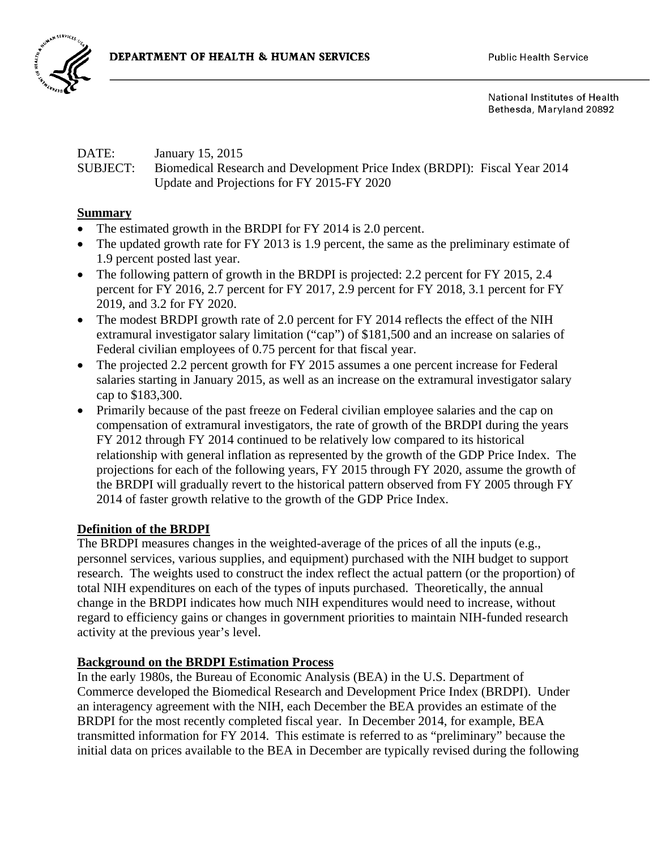

National Institutes of Health Bethesda, Maryland 20892

### DATE: January 15, 2015 SUBJECT: Biomedical Research and Development Price Index (BRDPI): Fiscal Year 2014 Update and Projections for FY 2015-FY 2020

### **Summary**

- The estimated growth in the BRDPI for FY 2014 is 2.0 percent.
- The updated growth rate for FY 2013 is 1.9 percent, the same as the preliminary estimate of 1.9 percent posted last year.
- The following pattern of growth in the BRDPI is projected: 2.2 percent for FY 2015, 2.4 percent for FY 2016, 2.7 percent for FY 2017, 2.9 percent for FY 2018, 3.1 percent for FY 2019, and 3.2 for FY 2020.
- The modest BRDPI growth rate of 2.0 percent for FY 2014 reflects the effect of the NIH extramural investigator salary limitation ("cap") of \$181,500 and an increase on salaries of Federal civilian employees of 0.75 percent for that fiscal year.
- The projected 2.2 percent growth for FY 2015 assumes a one percent increase for Federal salaries starting in January 2015, as well as an increase on the extramural investigator salary cap to \$183,300.
- Primarily because of the past freeze on Federal civilian employee salaries and the cap on compensation of extramural investigators, the rate of growth of the BRDPI during the years FY 2012 through FY 2014 continued to be relatively low compared to its historical relationship with general inflation as represented by the growth of the GDP Price Index. The projections for each of the following years, FY 2015 through FY 2020, assume the growth of the BRDPI will gradually revert to the historical pattern observed from FY 2005 through FY 2014 of faster growth relative to the growth of the GDP Price Index.

### **Definition of the BRDPI**

The BRDPI measures changes in the weighted-average of the prices of all the inputs (e.g., personnel services, various supplies, and equipment) purchased with the NIH budget to support research. The weights used to construct the index reflect the actual pattern (or the proportion) of total NIH expenditures on each of the types of inputs purchased. Theoretically, the annual change in the BRDPI indicates how much NIH expenditures would need to increase, without regard to efficiency gains or changes in government priorities to maintain NIH-funded research activity at the previous year's level.

### **Background on the BRDPI Estimation Process**

In the early 1980s, the Bureau of Economic Analysis (BEA) in the U.S. Department of Commerce developed the Biomedical Research and Development Price Index (BRDPI). Under an interagency agreement with the NIH, each December the BEA provides an estimate of the BRDPI for the most recently completed fiscal year. In December 2014, for example, BEA transmitted information for FY 2014. This estimate is referred to as "preliminary" because the initial data on prices available to the BEA in December are typically revised during the following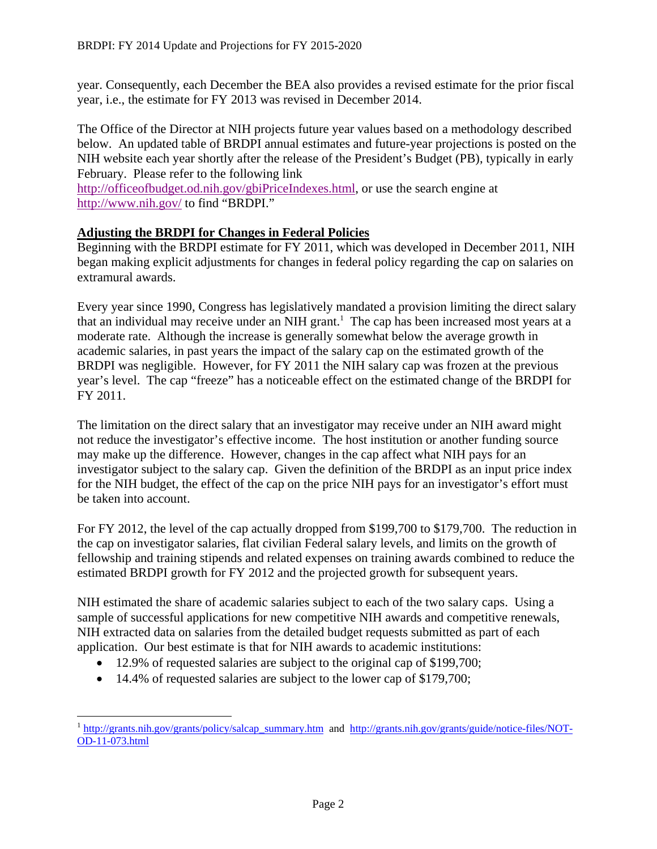year. Consequently, each December the BEA also provides a revised estimate for the prior fiscal year, i.e., the estimate for FY 2013 was revised in December 2014.

The Office of the Director at NIH projects future year values based on a methodology described below. An updated table of BRDPI annual estimates and future-year projections is posted on the NIH website each year shortly after the release of the President's Budget (PB), typically in early February. Please refer to the following link

http://officeofbudget.od.nih.gov/gbiPriceIndexes.html, or use the search engine at http://www.nih.gov/ to find "BRDPI."

### **Adjusting the BRDPI for Changes in Federal Policies**

Beginning with the BRDPI estimate for FY 2011, which was developed in December 2011, NIH began making explicit adjustments for changes in federal policy regarding the cap on salaries on extramural awards.

Every year since 1990, Congress has legislatively mandated a provision limiting the direct salary that an individual may receive under an NIH grant.<sup>1</sup> The cap has been increased most years at a moderate rate. Although the increase is generally somewhat below the average growth in academic salaries, in past years the impact of the salary cap on the estimated growth of the BRDPI was negligible. However, for FY 2011 the NIH salary cap was frozen at the previous year's level. The cap "freeze" has a noticeable effect on the estimated change of the BRDPI for FY 2011.

The limitation on the direct salary that an investigator may receive under an NIH award might not reduce the investigator's effective income. The host institution or another funding source may make up the difference. However, changes in the cap affect what NIH pays for an investigator subject to the salary cap. Given the definition of the BRDPI as an input price index for the NIH budget, the effect of the cap on the price NIH pays for an investigator's effort must be taken into account.

For FY 2012, the level of the cap actually dropped from \$199,700 to \$179,700. The reduction in the cap on investigator salaries, flat civilian Federal salary levels, and limits on the growth of fellowship and training stipends and related expenses on training awards combined to reduce the estimated BRDPI growth for FY 2012 and the projected growth for subsequent years.

NIH estimated the share of academic salaries subject to each of the two salary caps. Using a sample of successful applications for new competitive NIH awards and competitive renewals, NIH extracted data on salaries from the detailed budget requests submitted as part of each application. Our best estimate is that for NIH awards to academic institutions:

- 12.9% of requested salaries are subject to the original cap of \$199,700;
- 14.4% of requested salaries are subject to the lower cap of \$179,700;

<u>.</u>

<sup>&</sup>lt;sup>1</sup> http://grants.nih.gov/grants/policy/salcap\_summary.htm and http://grants.nih.gov/grants/guide/notice-files/NOT-OD-11-073.html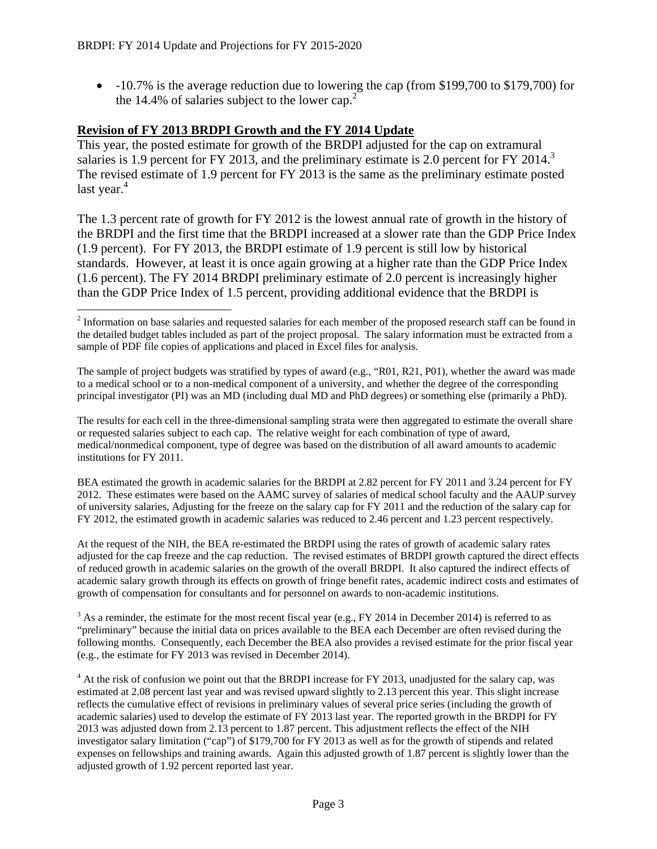-10.7% is the average reduction due to lowering the cap (from \$199,700 to \$179,700) for the 14.4% of salaries subject to the lower cap.<sup>2</sup>

### **Revision of FY 2013 BRDPI Growth and the FY 2014 Update**

This year, the posted estimate for growth of the BRDPI adjusted for the cap on extramural salaries is 1.9 percent for FY 2013, and the preliminary estimate is 2.0 percent for FY 2014.<sup>3</sup> The revised estimate of 1.9 percent for FY 2013 is the same as the preliminary estimate posted last year. $4$ 

The 1.3 percent rate of growth for FY 2012 is the lowest annual rate of growth in the history of the BRDPI and the first time that the BRDPI increased at a slower rate than the GDP Price Index (1.9 percent). For FY 2013, the BRDPI estimate of 1.9 percent is still low by historical standards. However, at least it is once again growing at a higher rate than the GDP Price Index (1.6 percent). The FY 2014 BRDPI preliminary estimate of 2.0 percent is increasingly higher than the GDP Price Index of 1.5 percent, providing additional evidence that the BRDPI is

The sample of project budgets was stratified by types of award (e.g., "R01, R21, P01), whether the award was made to a medical school or to a non-medical component of a university, and whether the degree of the corresponding principal investigator (PI) was an MD (including dual MD and PhD degrees) or something else (primarily a PhD).

The results for each cell in the three-dimensional sampling strata were then aggregated to estimate the overall share or requested salaries subject to each cap. The relative weight for each combination of type of award, medical/nonmedical component, type of degree was based on the distribution of all award amounts to academic institutions for FY 2011.

BEA estimated the growth in academic salaries for the BRDPI at 2.82 percent for FY 2011 and 3.24 percent for FY 2012. These estimates were based on the AAMC survey of salaries of medical school faculty and the AAUP survey of university salaries, Adjusting for the freeze on the salary cap for FY 2011 and the reduction of the salary cap for FY 2012, the estimated growth in academic salaries was reduced to 2.46 percent and 1.23 percent respectively.

At the request of the NIH, the BEA re-estimated the BRDPI using the rates of growth of academic salary rates adjusted for the cap freeze and the cap reduction. The revised estimates of BRDPI growth captured the direct effects of reduced growth in academic salaries on the growth of the overall BRDPI. It also captured the indirect effects of academic salary growth through its effects on growth of fringe benefit rates, academic indirect costs and estimates of growth of compensation for consultants and for personnel on awards to non-academic institutions.

 $3$  As a reminder, the estimate for the most recent fiscal year (e.g., FY 2014 in December 2014) is referred to as "preliminary" because the initial data on prices available to the BEA each December are often revised during the following months. Consequently, each December the BEA also provides a revised estimate for the prior fiscal year (e.g., the estimate for FY 2013 was revised in December 2014).

 $4$  At the risk of confusion we point out that the BRDPI increase for FY 2013, unadjusted for the salary cap, was estimated at 2.08 percent last year and was revised upward slightly to 2.13 percent this year. This slight increase reflects the cumulative effect of revisions in preliminary values of several price series (including the growth of academic salaries) used to develop the estimate of FY 2013 last year. The reported growth in the BRDPI for FY 2013 was adjusted down from 2.13 percent to 1.87 percent. This adjustment reflects the effect of the NIH investigator salary limitation ("cap") of \$179,700 for FY 2013 as well as for the growth of stipends and related expenses on fellowships and training awards. Again this adjusted growth of 1.87 percent is slightly lower than the adjusted growth of 1.92 percent reported last year.

 $\overline{a}$  $2^{2}$  Information on base salaries and requested salaries for each member of the proposed research staff can be found in the detailed budget tables included as part of the project proposal. The salary information must be extracted from a sample of PDF file copies of applications and placed in Excel files for analysis.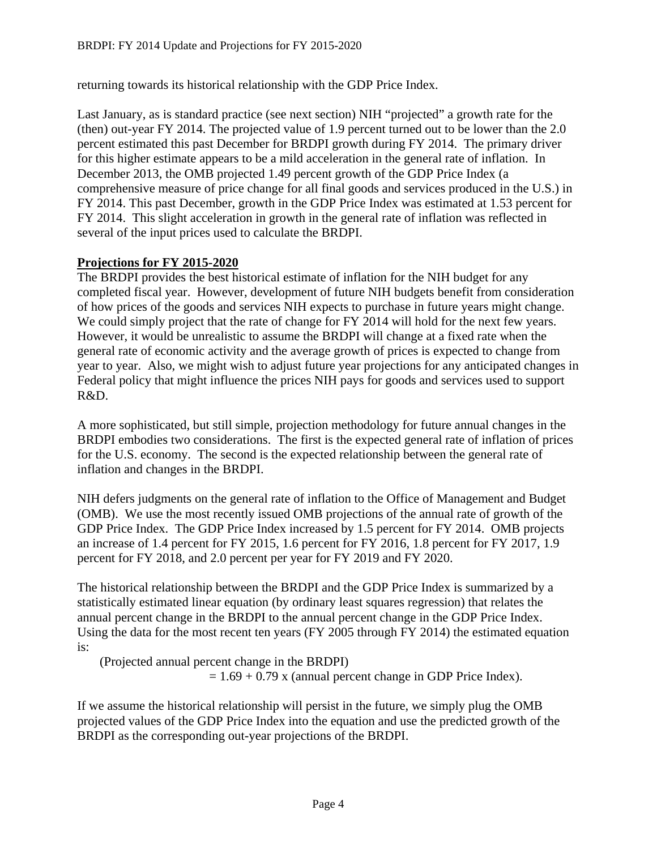returning towards its historical relationship with the GDP Price Index.

Last January, as is standard practice (see next section) NIH "projected" a growth rate for the (then) out-year FY 2014. The projected value of 1.9 percent turned out to be lower than the 2.0 percent estimated this past December for BRDPI growth during FY 2014. The primary driver for this higher estimate appears to be a mild acceleration in the general rate of inflation. In December 2013, the OMB projected 1.49 percent growth of the GDP Price Index (a comprehensive measure of price change for all final goods and services produced in the U.S.) in FY 2014. This past December, growth in the GDP Price Index was estimated at 1.53 percent for FY 2014. This slight acceleration in growth in the general rate of inflation was reflected in several of the input prices used to calculate the BRDPI.

### **Projections for FY 2015-2020**

The BRDPI provides the best historical estimate of inflation for the NIH budget for any completed fiscal year. However, development of future NIH budgets benefit from consideration of how prices of the goods and services NIH expects to purchase in future years might change. We could simply project that the rate of change for FY 2014 will hold for the next few years. However, it would be unrealistic to assume the BRDPI will change at a fixed rate when the general rate of economic activity and the average growth of prices is expected to change from year to year. Also, we might wish to adjust future year projections for any anticipated changes in Federal policy that might influence the prices NIH pays for goods and services used to support R&D.

A more sophisticated, but still simple, projection methodology for future annual changes in the BRDPI embodies two considerations. The first is the expected general rate of inflation of prices for the U.S. economy. The second is the expected relationship between the general rate of inflation and changes in the BRDPI.

NIH defers judgments on the general rate of inflation to the Office of Management and Budget (OMB). We use the most recently issued OMB projections of the annual rate of growth of the GDP Price Index. The GDP Price Index increased by 1.5 percent for FY 2014. OMB projects an increase of 1.4 percent for FY 2015, 1.6 percent for FY 2016, 1.8 percent for FY 2017, 1.9 percent for FY 2018, and 2.0 percent per year for FY 2019 and FY 2020.

The historical relationship between the BRDPI and the GDP Price Index is summarized by a statistically estimated linear equation (by ordinary least squares regression) that relates the annual percent change in the BRDPI to the annual percent change in the GDP Price Index. Using the data for the most recent ten years (FY 2005 through FY 2014) the estimated equation is:

(Projected annual percent change in the BRDPI)

 $= 1.69 + 0.79$  x (annual percent change in GDP Price Index).

If we assume the historical relationship will persist in the future, we simply plug the OMB projected values of the GDP Price Index into the equation and use the predicted growth of the BRDPI as the corresponding out-year projections of the BRDPI.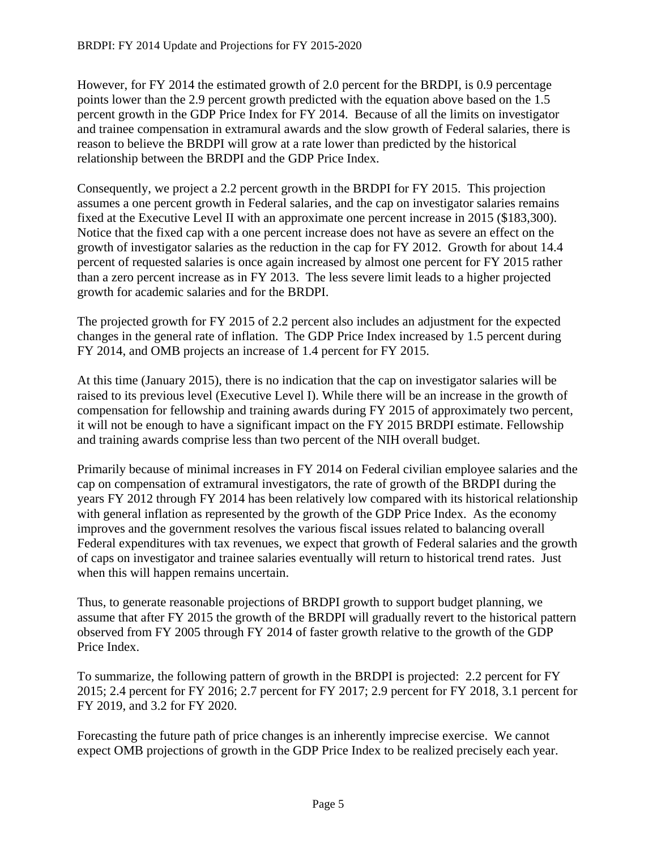However, for FY 2014 the estimated growth of 2.0 percent for the BRDPI, is 0.9 percentage points lower than the 2.9 percent growth predicted with the equation above based on the 1.5 percent growth in the GDP Price Index for FY 2014. Because of all the limits on investigator and trainee compensation in extramural awards and the slow growth of Federal salaries, there is reason to believe the BRDPI will grow at a rate lower than predicted by the historical relationship between the BRDPI and the GDP Price Index.

Consequently, we project a 2.2 percent growth in the BRDPI for FY 2015. This projection assumes a one percent growth in Federal salaries, and the cap on investigator salaries remains fixed at the Executive Level II with an approximate one percent increase in 2015 (\$183,300). Notice that the fixed cap with a one percent increase does not have as severe an effect on the growth of investigator salaries as the reduction in the cap for FY 2012. Growth for about 14.4 percent of requested salaries is once again increased by almost one percent for FY 2015 rather than a zero percent increase as in FY 2013. The less severe limit leads to a higher projected growth for academic salaries and for the BRDPI.

The projected growth for FY 2015 of 2.2 percent also includes an adjustment for the expected changes in the general rate of inflation. The GDP Price Index increased by 1.5 percent during FY 2014, and OMB projects an increase of 1.4 percent for FY 2015.

At this time (January 2015), there is no indication that the cap on investigator salaries will be raised to its previous level (Executive Level I). While there will be an increase in the growth of compensation for fellowship and training awards during FY 2015 of approximately two percent, it will not be enough to have a significant impact on the FY 2015 BRDPI estimate. Fellowship and training awards comprise less than two percent of the NIH overall budget.

Primarily because of minimal increases in FY 2014 on Federal civilian employee salaries and the cap on compensation of extramural investigators, the rate of growth of the BRDPI during the years FY 2012 through FY 2014 has been relatively low compared with its historical relationship with general inflation as represented by the growth of the GDP Price Index. As the economy improves and the government resolves the various fiscal issues related to balancing overall Federal expenditures with tax revenues, we expect that growth of Federal salaries and the growth of caps on investigator and trainee salaries eventually will return to historical trend rates. Just when this will happen remains uncertain.

Thus, to generate reasonable projections of BRDPI growth to support budget planning, we assume that after FY 2015 the growth of the BRDPI will gradually revert to the historical pattern observed from FY 2005 through FY 2014 of faster growth relative to the growth of the GDP Price Index.

To summarize, the following pattern of growth in the BRDPI is projected: 2.2 percent for FY 2015; 2.4 percent for FY 2016; 2.7 percent for FY 2017; 2.9 percent for FY 2018, 3.1 percent for FY 2019, and 3.2 for FY 2020.

Forecasting the future path of price changes is an inherently imprecise exercise. We cannot expect OMB projections of growth in the GDP Price Index to be realized precisely each year.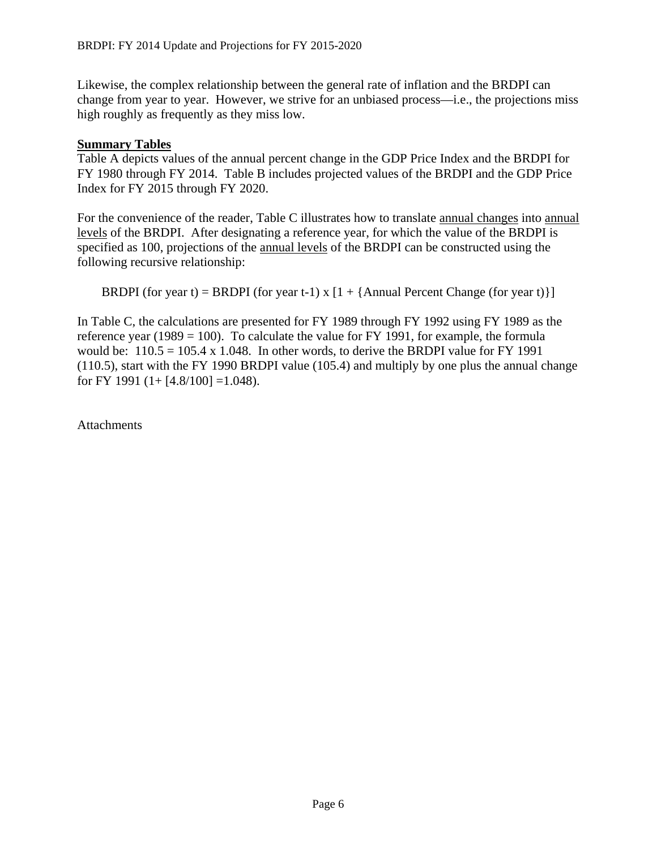Likewise, the complex relationship between the general rate of inflation and the BRDPI can change from year to year. However, we strive for an unbiased process—i.e., the projections miss high roughly as frequently as they miss low.

### **Summary Tables**

Table A depicts values of the annual percent change in the GDP Price Index and the BRDPI for FY 1980 through FY 2014. Table B includes projected values of the BRDPI and the GDP Price Index for FY 2015 through FY 2020.

For the convenience of the reader, Table C illustrates how to translate annual changes into annual levels of the BRDPI. After designating a reference year, for which the value of the BRDPI is specified as 100, projections of the annual levels of the BRDPI can be constructed using the following recursive relationship:

BRDPI (for year t) = BRDPI (for year t-1) x  $[1 + {Annual Percent Change (for year t)}]$ 

In Table C, the calculations are presented for FY 1989 through FY 1992 using FY 1989 as the reference year (1989 = 100). To calculate the value for FY 1991, for example, the formula would be:  $110.5 = 105.4 \times 1.048$ . In other words, to derive the BRDPI value for FY 1991 (110.5), start with the FY 1990 BRDPI value (105.4) and multiply by one plus the annual change for FY 1991  $(1+[4.8/100] = 1.048)$ .

**Attachments**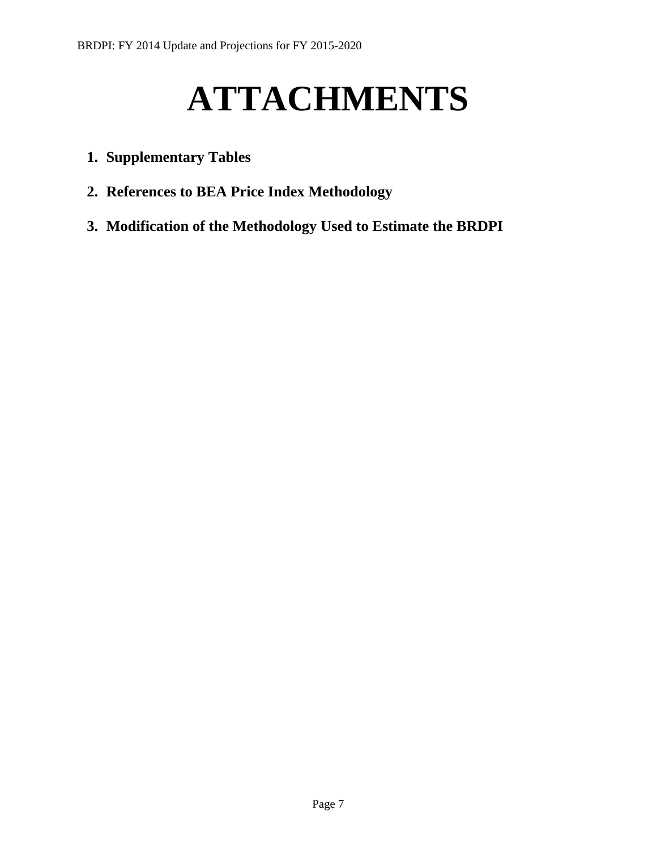# **ATTACHMENTS**

- **1. Supplementary Tables**
- **2. References to BEA Price Index Methodology**
- **3. Modification of the Methodology Used to Estimate the BRDPI**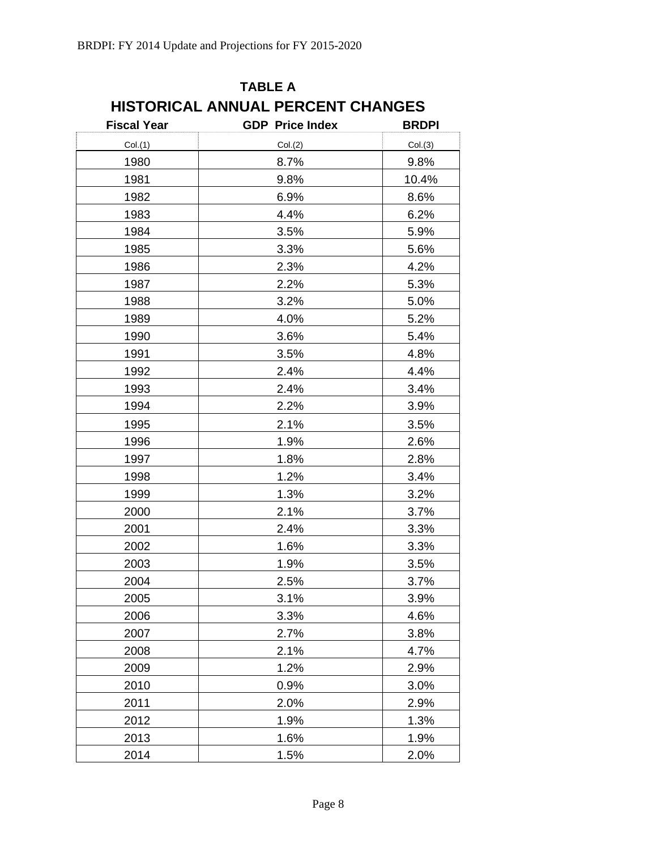| <b>Fiscal Year</b> | <b>GDP</b> Price Index | <b>BRDPI</b> |
|--------------------|------------------------|--------------|
| Col.(1)            | Col.(2)                | Col.(3)      |
| 1980               | 8.7%                   | 9.8%         |
| 1981               | 9.8%                   | 10.4%        |
| 1982               | 6.9%                   | 8.6%         |
| 1983               | 4.4%                   | 6.2%         |
| 1984               | 3.5%                   | 5.9%         |
| 1985               | 3.3%                   | 5.6%         |
| 1986               | 2.3%                   | 4.2%         |
| 1987               | 2.2%                   | 5.3%         |
| 1988               | 3.2%                   | 5.0%         |
| 1989               | 4.0%                   | 5.2%         |
| 1990               | 3.6%                   | 5.4%         |
| 1991               | 3.5%                   | 4.8%         |
| 1992               | 2.4%                   | 4.4%         |
| 1993               | 2.4%                   | 3.4%         |
| 1994               | 2.2%                   | 3.9%         |
| 1995               | 2.1%                   | 3.5%         |
| 1996               | 1.9%                   | 2.6%         |
| 1997               | 1.8%                   | 2.8%         |
| 1998               | 1.2%                   | 3.4%         |
| 1999               | 1.3%                   | 3.2%         |
| 2000               | 2.1%                   | 3.7%         |
| 2001               | 2.4%                   | 3.3%         |
| 2002               | 1.6%                   | 3.3%         |
| 2003               | 1.9%                   | 3.5%         |
| 2004               | 2.5%                   | 3.7%         |
| 2005               | 3.1%                   | 3.9%         |
| 2006               | 3.3%                   | 4.6%         |
| 2007               | 2.7%                   | 3.8%         |
| 2008               | 2.1%                   | 4.7%         |
| 2009               | 1.2%                   | 2.9%         |
| 2010               | 0.9%                   | 3.0%         |
| 2011               | 2.0%                   | 2.9%         |
| 2012               | 1.9%                   | 1.3%         |
| 2013               | 1.6%                   | 1.9%         |
| 2014               | 1.5%                   | 2.0%         |

# **TABLE A HISTORICAL ANNUAL PERCENT CHANGES**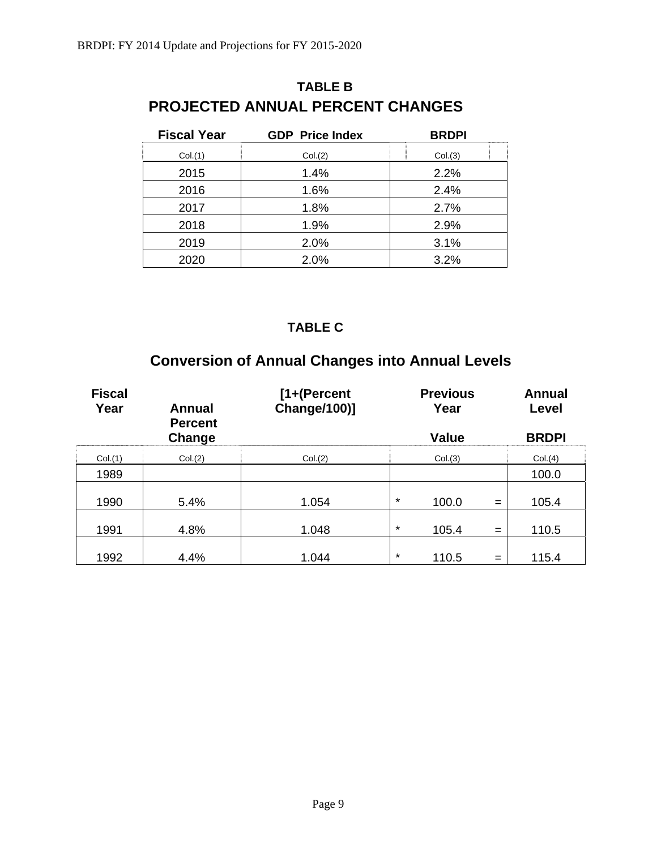| <b>Fiscal Year</b> | <b>GDP</b> Price Index | <b>BRDPI</b> |
|--------------------|------------------------|--------------|
| Col.(1)            | Col.(2)                | Col.(3)      |
| 2015               | 1.4%                   | 2.2%         |
| 2016               | 1.6%                   | 2.4%         |
| 2017               | 1.8%                   | 2.7%         |
| 2018               | 1.9%                   | 2.9%         |
| 2019               | 2.0%                   | 3.1%         |
| 2020               | 2.0%                   | 3.2%         |

## **TABLE B PROJECTED ANNUAL PERCENT CHANGES**

### **TABLE C**

## **Conversion of Annual Changes into Annual Levels**

| <b>Fiscal</b><br>Year | <b>Annual</b><br><b>Percent</b> | [1+(Percent<br><b>Change/100)]</b> |         | <b>Previous</b><br>Year |     | <b>Annual</b><br>Level |
|-----------------------|---------------------------------|------------------------------------|---------|-------------------------|-----|------------------------|
|                       | Change                          |                                    |         | <b>Value</b>            |     | <b>BRDPI</b>           |
| Col.(1)               | Col.(2)                         | Col.(2)                            |         | Col.(3)                 |     | Col.(4)                |
| 1989                  |                                 |                                    |         |                         |     | 100.0                  |
| 1990                  | 5.4%                            | 1.054                              | $\star$ | 100.0                   | $=$ | 105.4                  |
| 1991                  | 4.8%                            | 1.048                              | $\star$ | 105.4                   | $=$ | 110.5                  |
| 1992                  | 4.4%                            | 1.044                              | $\star$ | 110.5                   | $=$ | 115.4                  |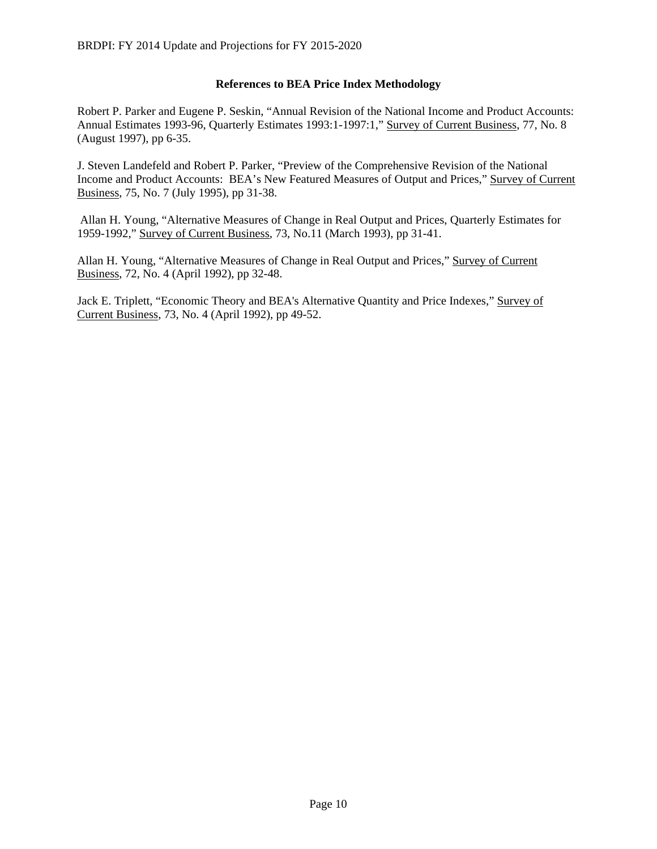#### **References to BEA Price Index Methodology**

Robert P. Parker and Eugene P. Seskin, "Annual Revision of the National Income and Product Accounts: Annual Estimates 1993-96, Quarterly Estimates 1993:1-1997:1," Survey of Current Business, 77, No. 8 (August 1997), pp 6-35.

J. Steven Landefeld and Robert P. Parker, "Preview of the Comprehensive Revision of the National Income and Product Accounts: BEA's New Featured Measures of Output and Prices," Survey of Current Business, 75, No. 7 (July 1995), pp 31-38.

 Allan H. Young, "Alternative Measures of Change in Real Output and Prices, Quarterly Estimates for 1959-1992," Survey of Current Business, 73, No.11 (March 1993), pp 31-41.

Allan H. Young, "Alternative Measures of Change in Real Output and Prices," Survey of Current Business, 72, No. 4 (April 1992), pp 32-48.

Jack E. Triplett, "Economic Theory and BEA's Alternative Quantity and Price Indexes," Survey of Current Business, 73, No. 4 (April 1992), pp 49-52.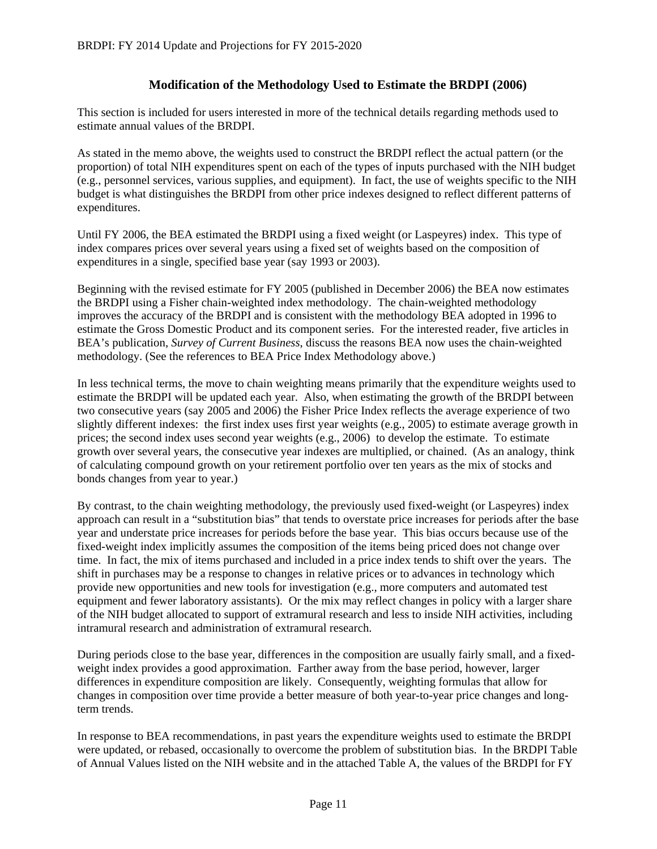### **Modification of the Methodology Used to Estimate the BRDPI (2006)**

This section is included for users interested in more of the technical details regarding methods used to estimate annual values of the BRDPI.

As stated in the memo above, the weights used to construct the BRDPI reflect the actual pattern (or the proportion) of total NIH expenditures spent on each of the types of inputs purchased with the NIH budget (e.g., personnel services, various supplies, and equipment). In fact, the use of weights specific to the NIH budget is what distinguishes the BRDPI from other price indexes designed to reflect different patterns of expenditures.

Until FY 2006, the BEA estimated the BRDPI using a fixed weight (or Laspeyres) index. This type of index compares prices over several years using a fixed set of weights based on the composition of expenditures in a single, specified base year (say 1993 or 2003).

Beginning with the revised estimate for FY 2005 (published in December 2006) the BEA now estimates the BRDPI using a Fisher chain-weighted index methodology. The chain-weighted methodology improves the accuracy of the BRDPI and is consistent with the methodology BEA adopted in 1996 to estimate the Gross Domestic Product and its component series. For the interested reader, five articles in BEA's publication, *Survey of Current Business*, discuss the reasons BEA now uses the chain-weighted methodology. (See the references to BEA Price Index Methodology above.)

In less technical terms, the move to chain weighting means primarily that the expenditure weights used to estimate the BRDPI will be updated each year. Also, when estimating the growth of the BRDPI between two consecutive years (say 2005 and 2006) the Fisher Price Index reflects the average experience of two slightly different indexes: the first index uses first year weights (e.g., 2005) to estimate average growth in prices; the second index uses second year weights (e.g., 2006) to develop the estimate. To estimate growth over several years, the consecutive year indexes are multiplied, or chained. (As an analogy, think of calculating compound growth on your retirement portfolio over ten years as the mix of stocks and bonds changes from year to year.)

By contrast, to the chain weighting methodology, the previously used fixed-weight (or Laspeyres) index approach can result in a "substitution bias" that tends to overstate price increases for periods after the base year and understate price increases for periods before the base year. This bias occurs because use of the fixed-weight index implicitly assumes the composition of the items being priced does not change over time. In fact, the mix of items purchased and included in a price index tends to shift over the years. The shift in purchases may be a response to changes in relative prices or to advances in technology which provide new opportunities and new tools for investigation (e.g., more computers and automated test equipment and fewer laboratory assistants). Or the mix may reflect changes in policy with a larger share of the NIH budget allocated to support of extramural research and less to inside NIH activities, including intramural research and administration of extramural research.

During periods close to the base year, differences in the composition are usually fairly small, and a fixedweight index provides a good approximation. Farther away from the base period, however, larger differences in expenditure composition are likely. Consequently, weighting formulas that allow for changes in composition over time provide a better measure of both year-to-year price changes and longterm trends.

In response to BEA recommendations, in past years the expenditure weights used to estimate the BRDPI were updated, or rebased, occasionally to overcome the problem of substitution bias. In the BRDPI Table of Annual Values listed on the NIH website and in the attached Table A, the values of the BRDPI for FY